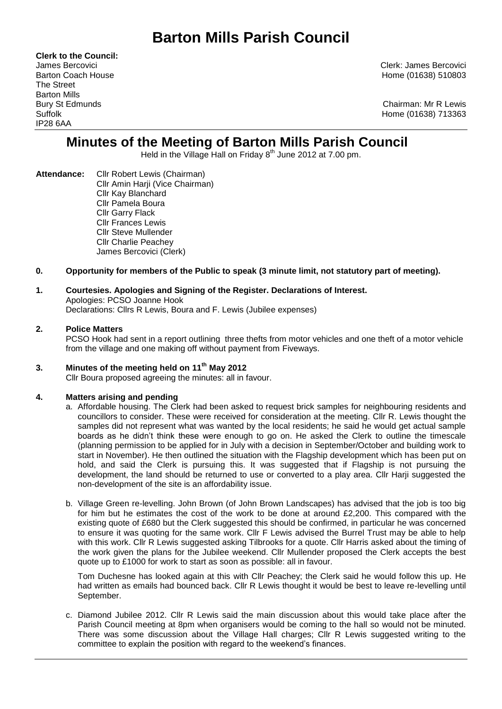# **Barton Mills Parish Council**

**Clerk to the Council:** The Street Barton Mills IP28 6AA

James Bercovici Clerk: James Bercovici Barton Coach House **Home (01638)** 510803

Bury St Edmunds Chairman: Mr R Lewis Suffolk Home (01638) 713363

## **Minutes of the Meeting of Barton Mills Parish Council**

Held in the Village Hall on Friday  $8<sup>th</sup>$  June 2012 at 7.00 pm.

- **Attendance:** Cllr Robert Lewis (Chairman) Cllr Amin Harji (Vice Chairman) Cllr Kay Blanchard Cllr Pamela Boura Cllr Garry Flack Cllr Frances Lewis Cllr Steve Mullender Cllr Charlie Peachey James Bercovici (Clerk)
- **0. Opportunity for members of the Public to speak (3 minute limit, not statutory part of meeting).**

#### **1. Courtesies. Apologies and Signing of the Register. Declarations of Interest.** Apologies: PCSO Joanne Hook Declarations: Cllrs R Lewis, Boura and F. Lewis (Jubilee expenses)

#### **2. Police Matters**

PCSO Hook had sent in a report outlining three thefts from motor vehicles and one theft of a motor vehicle from the village and one making off without payment from Fiveways.

#### **3. Minutes of the meeting held on 11th May 2012**

Cllr Boura proposed agreeing the minutes: all in favour.

#### **4. Matters arising and pending**

- a. Affordable housing. The Clerk had been asked to request brick samples for neighbouring residents and councillors to consider. These were received for consideration at the meeting. Cllr R. Lewis thought the samples did not represent what was wanted by the local residents; he said he would get actual sample boards as he didn't think these were enough to go on. He asked the Clerk to outline the timescale (planning permission to be applied for in July with a decision in September/October and building work to start in November). He then outlined the situation with the Flagship development which has been put on hold, and said the Clerk is pursuing this. It was suggested that if Flagship is not pursuing the development, the land should be returned to use or converted to a play area. Cllr Harji suggested the non-development of the site is an affordability issue.
- b. Village Green re-levelling. John Brown (of John Brown Landscapes) has advised that the job is too big for him but he estimates the cost of the work to be done at around £2,200. This compared with the existing quote of £680 but the Clerk suggested this should be confirmed, in particular he was concerned to ensure it was quoting for the same work. Cllr F Lewis advised the Burrel Trust may be able to help with this work. Cllr R Lewis suggested asking Tilbrooks for a quote. Cllr Harris asked about the timing of the work given the plans for the Jubilee weekend. Cllr Mullender proposed the Clerk accepts the best quote up to £1000 for work to start as soon as possible: all in favour.

Tom Duchesne has looked again at this with Cllr Peachey; the Clerk said he would follow this up. He had written as emails had bounced back. Cllr R Lewis thought it would be best to leave re-levelling until September.

c. Diamond Jubilee 2012. Cllr R Lewis said the main discussion about this would take place after the Parish Council meeting at 8pm when organisers would be coming to the hall so would not be minuted. There was some discussion about the Village Hall charges; Cllr R Lewis suggested writing to the committee to explain the position with regard to the weekend's finances.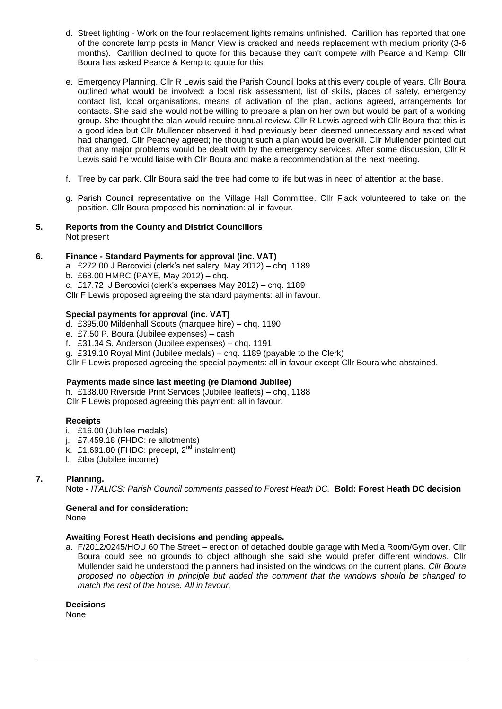- d. Street lighting Work on the four replacement lights remains unfinished. Carillion has reported that one of the concrete lamp posts in Manor View is cracked and needs replacement with medium priority (3-6 months). Carillion declined to quote for this because they can't compete with Pearce and Kemp. Cllr Boura has asked Pearce & Kemp to quote for this.
- e. Emergency Planning. Cllr R Lewis said the Parish Council looks at this every couple of years. Cllr Boura outlined what would be involved: a local risk assessment, list of skills, places of safety, emergency contact list, local organisations, means of activation of the plan, actions agreed, arrangements for contacts. She said she would not be willing to prepare a plan on her own but would be part of a working group. She thought the plan would require annual review. Cllr R Lewis agreed with Cllr Boura that this is a good idea but Cllr Mullender observed it had previously been deemed unnecessary and asked what had changed. Cllr Peachey agreed; he thought such a plan would be overkill. Cllr Mullender pointed out that any major problems would be dealt with by the emergency services. After some discussion, Cllr R Lewis said he would liaise with Cllr Boura and make a recommendation at the next meeting.
- f. Tree by car park. Cllr Boura said the tree had come to life but was in need of attention at the base.
- g. Parish Council representative on the Village Hall Committee. Cllr Flack volunteered to take on the position. Cllr Boura proposed his nomination: all in favour.

#### **5. Reports from the County and District Councillors** Not present

#### **6. Finance - Standard Payments for approval (inc. VAT)**

- a. £272.00 J Bercovici (clerk's net salary, May 2012) chq. 1189
- b. £68.00 HMRC (PAYE, May 2012) chq.

c. £17.72 J Bercovici (clerk's expenses May 2012) – chq. 1189

Cllr F Lewis proposed agreeing the standard payments: all in favour.

#### **Special payments for approval (inc. VAT)**

- d. £395.00 Mildenhall Scouts (marquee hire) chq. 1190
- e. £7.50 P. Boura (Jubilee expenses) cash
- f. £31.34 S. Anderson (Jubilee expenses) chq. 1191

g. £319.10 Royal Mint (Jubilee medals) – chq. 1189 (payable to the Clerk)

Cllr F Lewis proposed agreeing the special payments: all in favour except Cllr Boura who abstained.

#### **Payments made since last meeting (re Diamond Jubilee)**

h. £138.00 Riverside Print Services (Jubilee leaflets) – chq, 1188 Cllr F Lewis proposed agreeing this payment: all in favour.

#### **Receipts**

- i. £16.00 (Jubilee medals)
- j. £7,459.18 (FHDC: re allotments)
- k. £1,691.80 (FHDC: precept,  $2^{nd}$  instalment)
- l. £tba (Jubilee income)

#### **7. Planning.**

Note - *ITALICS: Parish Council comments passed to Forest Heath DC.* **Bold: Forest Heath DC decision**

### **General and for consideration:**

None

#### **Awaiting Forest Heath decisions and pending appeals.**

a. F/2012/0245/HOU 60 The Street – erection of detached double garage with Media Room/Gym over. Cllr Boura could see no grounds to object although she said she would prefer different windows. Cllr Mullender said he understood the planners had insisted on the windows on the current plans. *Cllr Boura proposed no objection in principle but added the comment that the windows should be changed to match the rest of the house. All in favour.*

**Decisions**

None